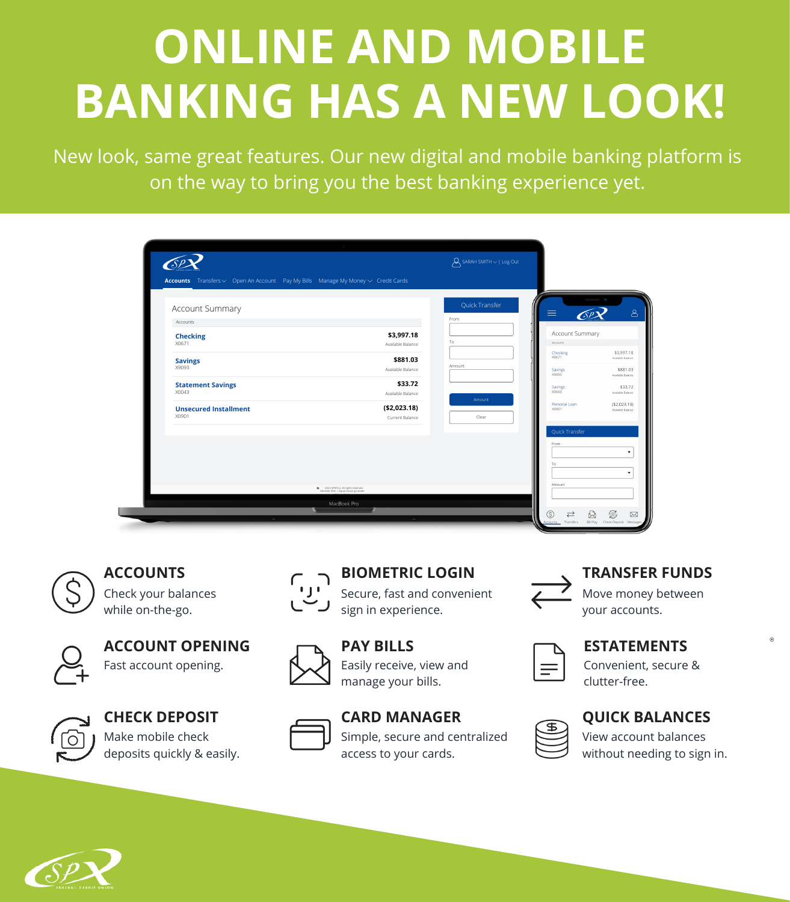#### **ACCOUNTS BIOMETRIC LOGIN**

Check your balances while on-the-go.



Secure, fast and convenient sign in experience.



**PAY BILLS** Easily receive, view and manage your bills.



#### **TRANSFER FUNDS**

Move money between your accounts.

#### **CHECK DEPOSIT CARD MANAGER** Simple, secure and centralized access to your cards.







Fast account opening.



## **ACCOUNT OPENING**

Convenient, secure & clutter-free.

**ESTATEMENTS**

# **ONLINE AND MOBILE BANKING HAS A NEW LOOK!**

New look, same great features. Our new digital and mobile banking platform is on the way to bring you the best banking experience yet.

| <b>Accounts</b> Transfers $\vee$ Open An Account Pay My Bills Manage My Money $\vee$ Credit Cards |                                                                           |                |                   |                                 |
|---------------------------------------------------------------------------------------------------|---------------------------------------------------------------------------|----------------|-------------------|---------------------------------|
|                                                                                                   |                                                                           |                |                   |                                 |
| Account Summary                                                                                   |                                                                           | Quick Transfer |                   |                                 |
| Accounts                                                                                          |                                                                           | From           | ≡<br>SP           |                                 |
| <b>Checking</b>                                                                                   | \$3,997.18                                                                |                | Account Summary   |                                 |
| X0671                                                                                             | Available Balance                                                         | To             | Accounts          |                                 |
| <b>Savings</b>                                                                                    | \$881.03                                                                  |                | Checking<br>X0671 | \$3,997.18<br>Available Balance |
| X9093                                                                                             | Available Balance                                                         | Amount         | Savings<br>X9093  | \$881.03<br>Available Balance   |
| <b>Statement Savings</b><br>X0043                                                                 | \$33.72                                                                   |                | Savings<br>X0043  | Available Balance               |
|                                                                                                   | Available Balance                                                         | Amount         | Personal Loan     | (\$2,023.19)                    |
| <b>Unsecured Installment</b><br>X0901                                                             | ( \$2,023.18)<br>Current Balance                                          | Clear          | X0901             | Available Balance               |
|                                                                                                   |                                                                           |                | Quick Transfer    |                                 |
|                                                                                                   |                                                                           |                | From              |                                 |
|                                                                                                   |                                                                           |                |                   |                                 |
|                                                                                                   |                                                                           |                | To                |                                 |
|                                                                                                   |                                                                           |                | Amount            |                                 |
|                                                                                                   | © 2022 SPXFCU. All rights reserved.<br>Member FDIC   Equal Housing Lender |                |                   |                                 |

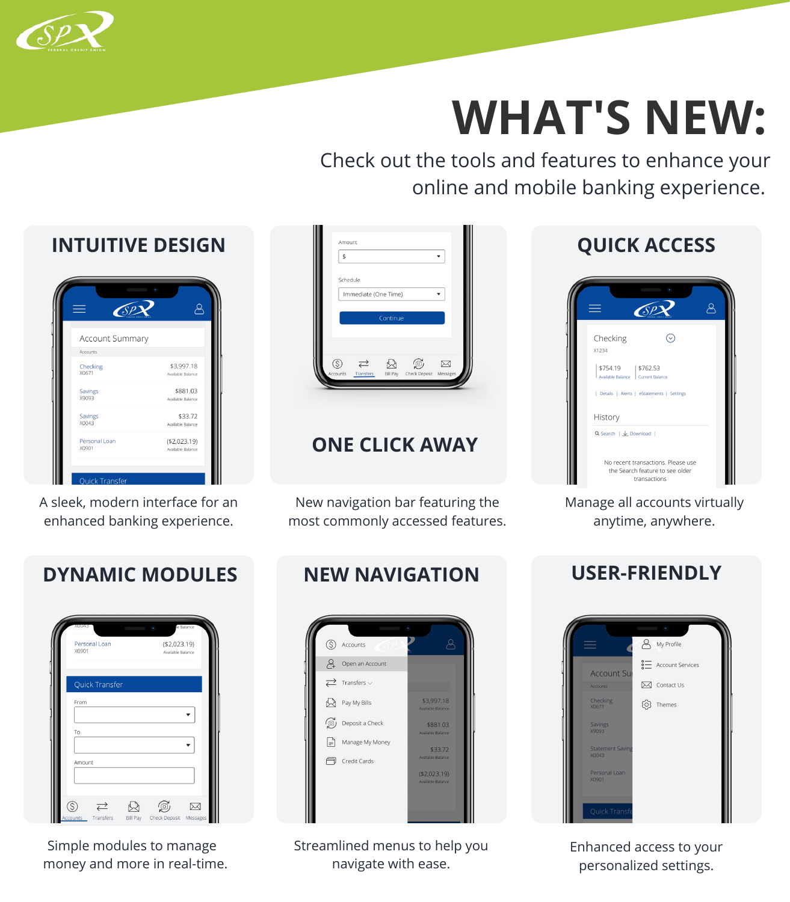Check out the tools and features to enhance your online and mobile banking experience.

## **ONE CLICK AWAY**



# **WHAT'S NEW:**



## **DYNAMIC MODULES**





## **QUICK ACCESS**

| $\overline{\mathcal{S}}$                                                                                  |                                                                                       |  |
|-----------------------------------------------------------------------------------------------------------|---------------------------------------------------------------------------------------|--|
| Checking<br>X1234                                                                                         |                                                                                       |  |
| \$754.19   \$762.53<br>Available Balance   Current Balance<br>  Details   Alerts   eStatements   Settings |                                                                                       |  |
| History<br>Q Search $\frac{1}{2}$ Download                                                                |                                                                                       |  |
|                                                                                                           | No recent transactions. Please use<br>the Search feature to see older<br>transactions |  |

### **NEW NAVIGATION**



A sleek, modern interface for an enhanced banking experience.

New navigation bar featuring the most commonly accessed features. Manage all accounts virtually anytime, anywhere.

Simple modules to manage money and more in real-time. Streamlined menus to help you navigate with ease.

### **USER-FRIENDLY**



Enhanced access to your personalized settings.